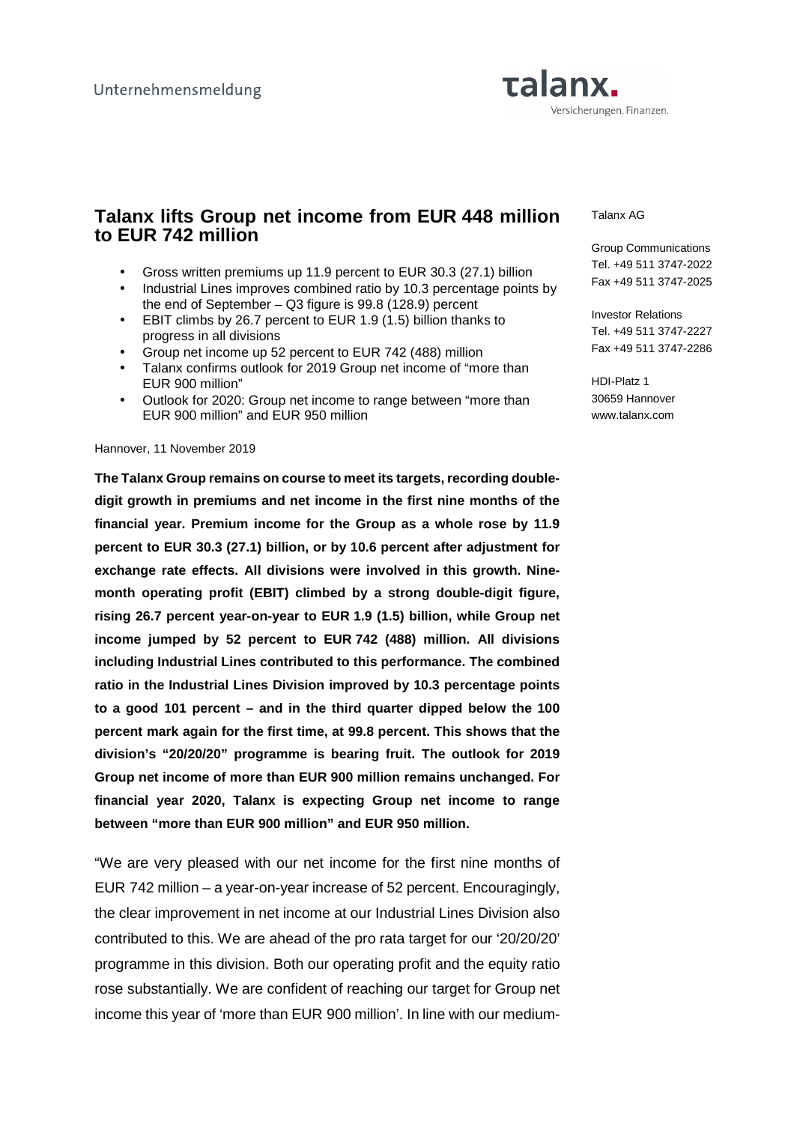

# **Talanx lifts Group net income from EUR 448 million to EUR 742 million**

- Gross written premiums up 11.9 percent to EUR 30.3 (27.1) billion
- Industrial Lines improves combined ratio by 10.3 percentage points by the end of September – Q3 figure is 99.8 (128.9) percent
- EBIT climbs by 26.7 percent to EUR 1.9 (1.5) billion thanks to progress in all divisions
- Group net income up 52 percent to EUR 742 (488) million
- Talanx confirms outlook for 2019 Group net income of "more than EUR 900 million"
- Outlook for 2020: Group net income to range between "more than EUR 900 million" and EUR 950 million

#### Hannover, 11 November 2019

**The Talanx Group remains on course to meet its targets, recording doubledigit growth in premiums and net income in the first nine months of the financial year. Premium income for the Group as a whole rose by 11.9 percent to EUR 30.3 (27.1) billion, or by 10.6 percent after adjustment for exchange rate effects. All divisions were involved in this growth. Ninemonth operating profit (EBIT) climbed by a strong double-digit figure, rising 26.7 percent year-on-year to EUR 1.9 (1.5) billion, while Group net income jumped by 52 percent to EUR 742 (488) million. All divisions including Industrial Lines contributed to this performance. The combined ratio in the Industrial Lines Division improved by 10.3 percentage points to a good 101 percent – and in the third quarter dipped below the 100 percent mark again for the first time, at 99.8 percent. This shows that the division's "20/20/20" programme is bearing fruit. The outlook for 2019 Group net income of more than EUR 900 million remains unchanged. For financial year 2020, Talanx is expecting Group net income to range between "more than EUR 900 million" and EUR 950 million.** 

"We are very pleased with our net income for the first nine months of EUR 742 million – a year-on-year increase of 52 percent. Encouragingly, the clear improvement in net income at our Industrial Lines Division also contributed to this. We are ahead of the pro rata target for our '20/20/20' programme in this division. Both our operating profit and the equity ratio rose substantially. We are confident of reaching our target for Group net income this year of 'more than EUR 900 million'. In line with our medium-

#### Talanx AG

Group Communications Tel. +49 511 3747-2022 Fax +49 511 3747-2025

Investor Relations Tel. +49 511 3747-2227 Fax +49 511 3747-2286

HDI-Platz 1 30659 Hannover www.talanx.com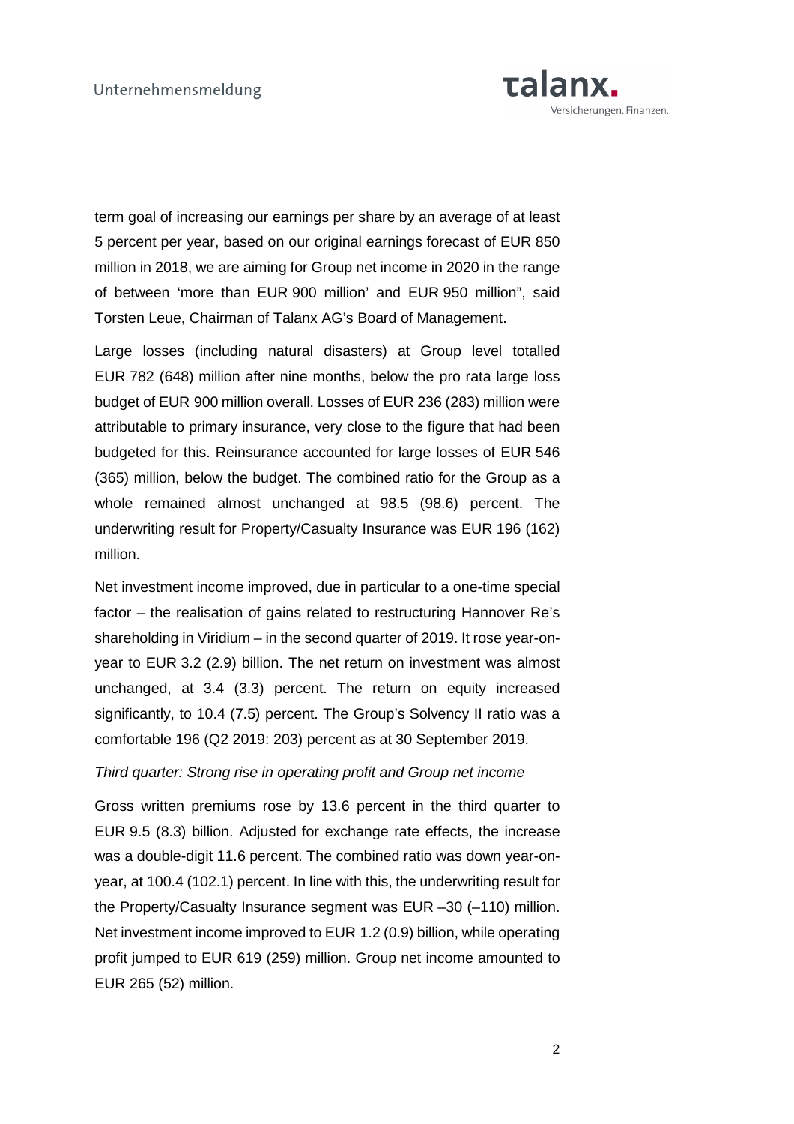

term goal of increasing our earnings per share by an average of at least 5 percent per year, based on our original earnings forecast of EUR 850 million in 2018, we are aiming for Group net income in 2020 in the range of between 'more than EUR 900 million' and EUR 950 million", said Torsten Leue, Chairman of Talanx AG's Board of Management.

Large losses (including natural disasters) at Group level totalled EUR 782 (648) million after nine months, below the pro rata large loss budget of EUR 900 million overall. Losses of EUR 236 (283) million were attributable to primary insurance, very close to the figure that had been budgeted for this. Reinsurance accounted for large losses of EUR 546 (365) million, below the budget. The combined ratio for the Group as a whole remained almost unchanged at 98.5 (98.6) percent. The underwriting result for Property/Casualty Insurance was EUR 196 (162) million.

Net investment income improved, due in particular to a one-time special factor – the realisation of gains related to restructuring Hannover Re's shareholding in Viridium – in the second quarter of 2019. It rose year-onyear to EUR 3.2 (2.9) billion. The net return on investment was almost unchanged, at 3.4 (3.3) percent. The return on equity increased significantly, to 10.4 (7.5) percent. The Group's Solvency II ratio was a comfortable 196 (Q2 2019: 203) percent as at 30 September 2019.

#### Third quarter: Strong rise in operating profit and Group net income

Gross written premiums rose by 13.6 percent in the third quarter to EUR 9.5 (8.3) billion. Adjusted for exchange rate effects, the increase was a double-digit 11.6 percent. The combined ratio was down year-onyear, at 100.4 (102.1) percent. In line with this, the underwriting result for the Property/Casualty Insurance segment was EUR –30 (–110) million. Net investment income improved to EUR 1.2 (0.9) billion, while operating profit jumped to EUR 619 (259) million. Group net income amounted to EUR 265 (52) million.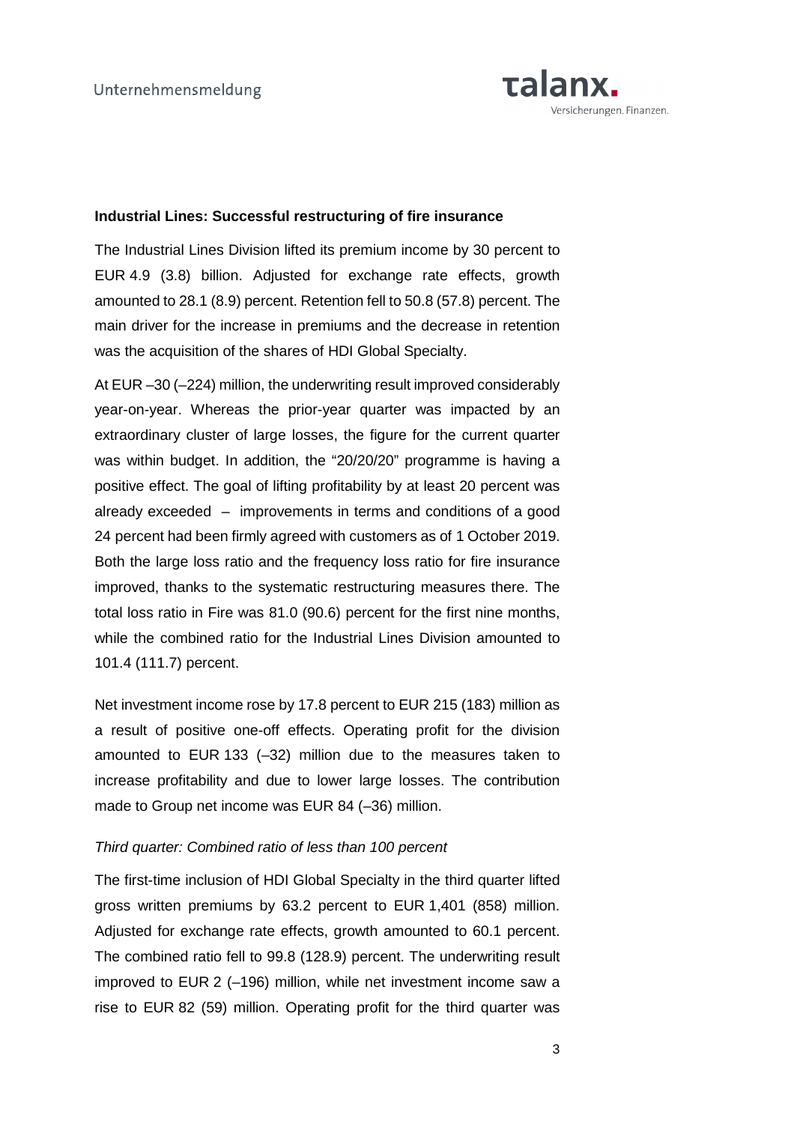

### **Industrial Lines: Successful restructuring of fire insurance**

The Industrial Lines Division lifted its premium income by 30 percent to EUR 4.9 (3.8) billion. Adjusted for exchange rate effects, growth amounted to 28.1 (8.9) percent. Retention fell to 50.8 (57.8) percent. The main driver for the increase in premiums and the decrease in retention was the acquisition of the shares of HDI Global Specialty.

At EUR –30 (–224) million, the underwriting result improved considerably year-on-year. Whereas the prior-year quarter was impacted by an extraordinary cluster of large losses, the figure for the current quarter was within budget. In addition, the "20/20/20" programme is having a positive effect. The goal of lifting profitability by at least 20 percent was already exceeded – improvements in terms and conditions of a good 24 percent had been firmly agreed with customers as of 1 October 2019. Both the large loss ratio and the frequency loss ratio for fire insurance improved, thanks to the systematic restructuring measures there. The total loss ratio in Fire was 81.0 (90.6) percent for the first nine months, while the combined ratio for the Industrial Lines Division amounted to 101.4 (111.7) percent.

Net investment income rose by 17.8 percent to EUR 215 (183) million as a result of positive one-off effects. Operating profit for the division amounted to EUR 133 (–32) million due to the measures taken to increase profitability and due to lower large losses. The contribution made to Group net income was EUR 84 (–36) million.

### Third quarter: Combined ratio of less than 100 percent

The first-time inclusion of HDI Global Specialty in the third quarter lifted gross written premiums by 63.2 percent to EUR 1,401 (858) million. Adjusted for exchange rate effects, growth amounted to 60.1 percent. The combined ratio fell to 99.8 (128.9) percent. The underwriting result improved to EUR 2 (–196) million, while net investment income saw a rise to EUR 82 (59) million. Operating profit for the third quarter was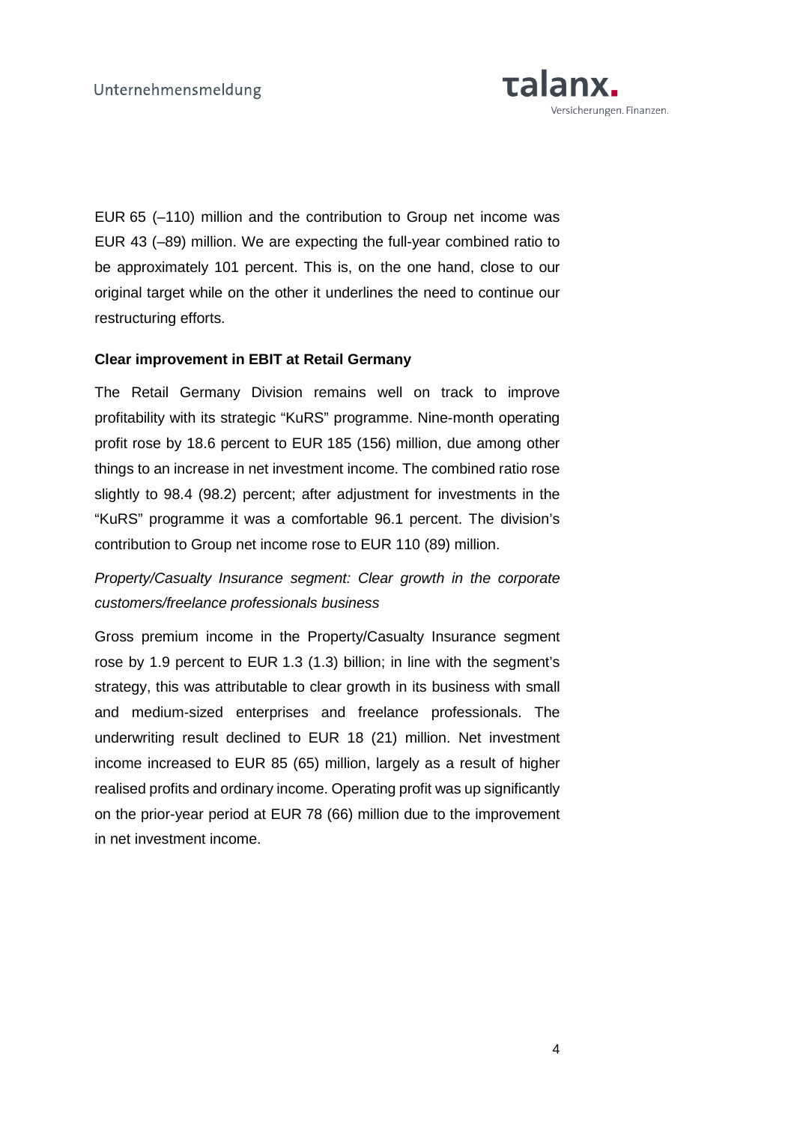

EUR 65 (–110) million and the contribution to Group net income was EUR 43 (–89) million. We are expecting the full-year combined ratio to be approximately 101 percent. This is, on the one hand, close to our original target while on the other it underlines the need to continue our restructuring efforts.

## **Clear improvement in EBIT at Retail Germany**

The Retail Germany Division remains well on track to improve profitability with its strategic "KuRS" programme. Nine-month operating profit rose by 18.6 percent to EUR 185 (156) million, due among other things to an increase in net investment income. The combined ratio rose slightly to 98.4 (98.2) percent; after adjustment for investments in the "KuRS" programme it was a comfortable 96.1 percent. The division's contribution to Group net income rose to EUR 110 (89) million.

# Property/Casualty Insurance segment: Clear growth in the corporate customers/freelance professionals business

Gross premium income in the Property/Casualty Insurance segment rose by 1.9 percent to EUR 1.3 (1.3) billion; in line with the segment's strategy, this was attributable to clear growth in its business with small and medium-sized enterprises and freelance professionals. The underwriting result declined to EUR 18 (21) million. Net investment income increased to EUR 85 (65) million, largely as a result of higher realised profits and ordinary income. Operating profit was up significantly on the prior-year period at EUR 78 (66) million due to the improvement in net investment income.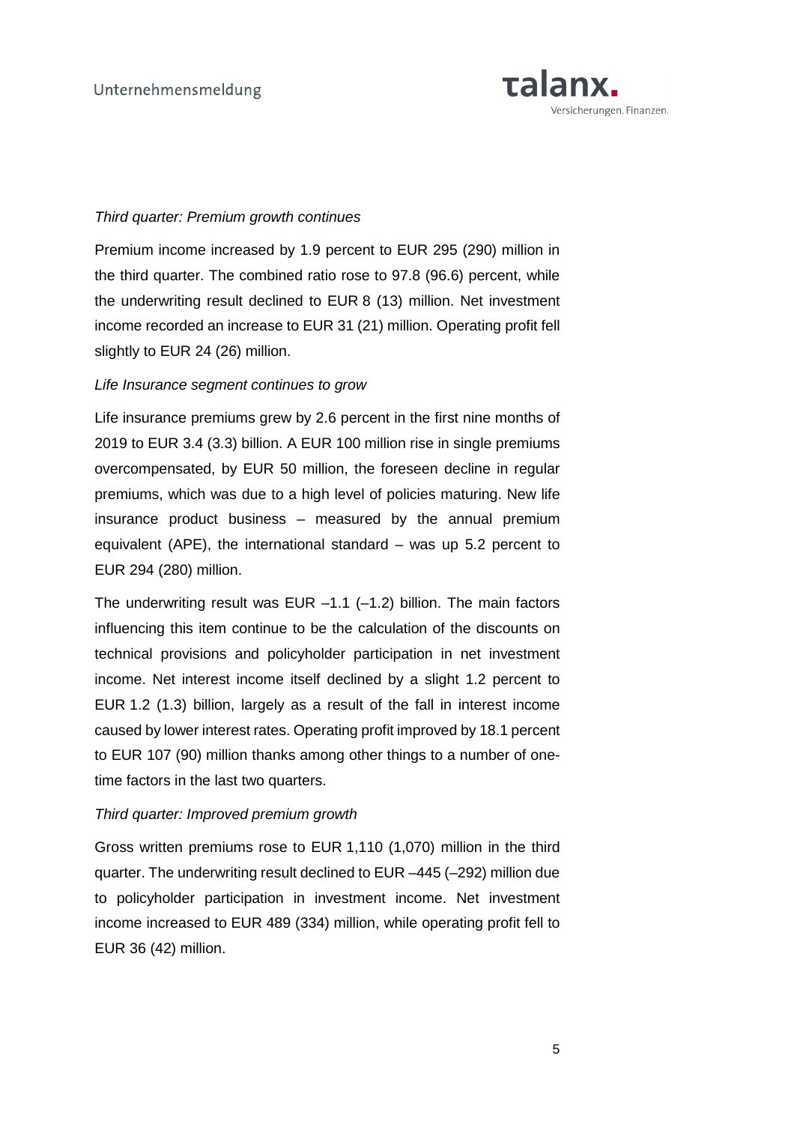

## Third quarter: Premium growth continues

Premium income increased by 1.9 percent to EUR 295 (290) million in the third quarter. The combined ratio rose to 97.8 (96.6) percent, while the underwriting result declined to EUR 8 (13) million. Net investment income recorded an increase to EUR 31 (21) million. Operating profit fell slightly to EUR 24 (26) million.

### Life Insurance segment continues to grow

Life insurance premiums grew by 2.6 percent in the first nine months of 2019 to EUR 3.4 (3.3) billion. A EUR 100 million rise in single premiums overcompensated, by EUR 50 million, the foreseen decline in regular premiums, which was due to a high level of policies maturing. New life insurance product business – measured by the annual premium equivalent (APE), the international standard – was up 5.2 percent to EUR 294 (280) million.

The underwriting result was EUR  $-1.1$  ( $-1.2$ ) billion. The main factors influencing this item continue to be the calculation of the discounts on technical provisions and policyholder participation in net investment income. Net interest income itself declined by a slight 1.2 percent to EUR 1.2 (1.3) billion, largely as a result of the fall in interest income caused by lower interest rates. Operating profit improved by 18.1 percent to EUR 107 (90) million thanks among other things to a number of onetime factors in the last two quarters.

# Third quarter: Improved premium growth

Gross written premiums rose to EUR 1,110 (1,070) million in the third quarter. The underwriting result declined to EUR –445 (–292) million due to policyholder participation in investment income. Net investment income increased to EUR 489 (334) million, while operating profit fell to EUR 36 (42) million.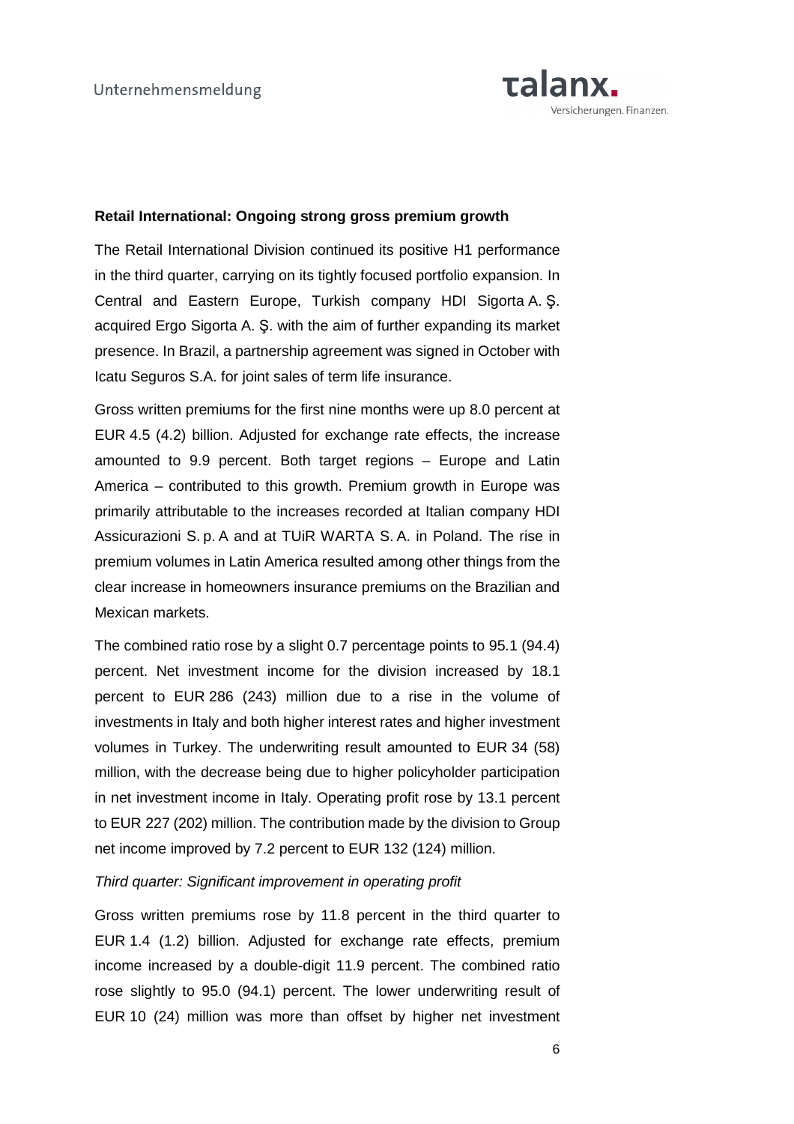

### **Retail International: Ongoing strong gross premium growth**

The Retail International Division continued its positive H1 performance in the third quarter, carrying on its tightly focused portfolio expansion. In Central and Eastern Europe, Turkish company HDI Sigorta A. Ş. acquired Ergo Sigorta A. Ş. with the aim of further expanding its market presence. In Brazil, a partnership agreement was signed in October with Icatu Seguros S.A. for joint sales of term life insurance.

Gross written premiums for the first nine months were up 8.0 percent at EUR 4.5 (4.2) billion. Adjusted for exchange rate effects, the increase amounted to 9.9 percent. Both target regions – Europe and Latin America – contributed to this growth. Premium growth in Europe was primarily attributable to the increases recorded at Italian company HDI Assicurazioni S. p. A and at TUiR WARTA S. A. in Poland. The rise in premium volumes in Latin America resulted among other things from the clear increase in homeowners insurance premiums on the Brazilian and Mexican markets.

The combined ratio rose by a slight 0.7 percentage points to 95.1 (94.4) percent. Net investment income for the division increased by 18.1 percent to EUR 286 (243) million due to a rise in the volume of investments in Italy and both higher interest rates and higher investment volumes in Turkey. The underwriting result amounted to EUR 34 (58) million, with the decrease being due to higher policyholder participation in net investment income in Italy. Operating profit rose by 13.1 percent to EUR 227 (202) million. The contribution made by the division to Group net income improved by 7.2 percent to EUR 132 (124) million.

## Third quarter: Significant improvement in operating profit

Gross written premiums rose by 11.8 percent in the third quarter to EUR 1.4 (1.2) billion. Adjusted for exchange rate effects, premium income increased by a double-digit 11.9 percent. The combined ratio rose slightly to 95.0 (94.1) percent. The lower underwriting result of EUR 10 (24) million was more than offset by higher net investment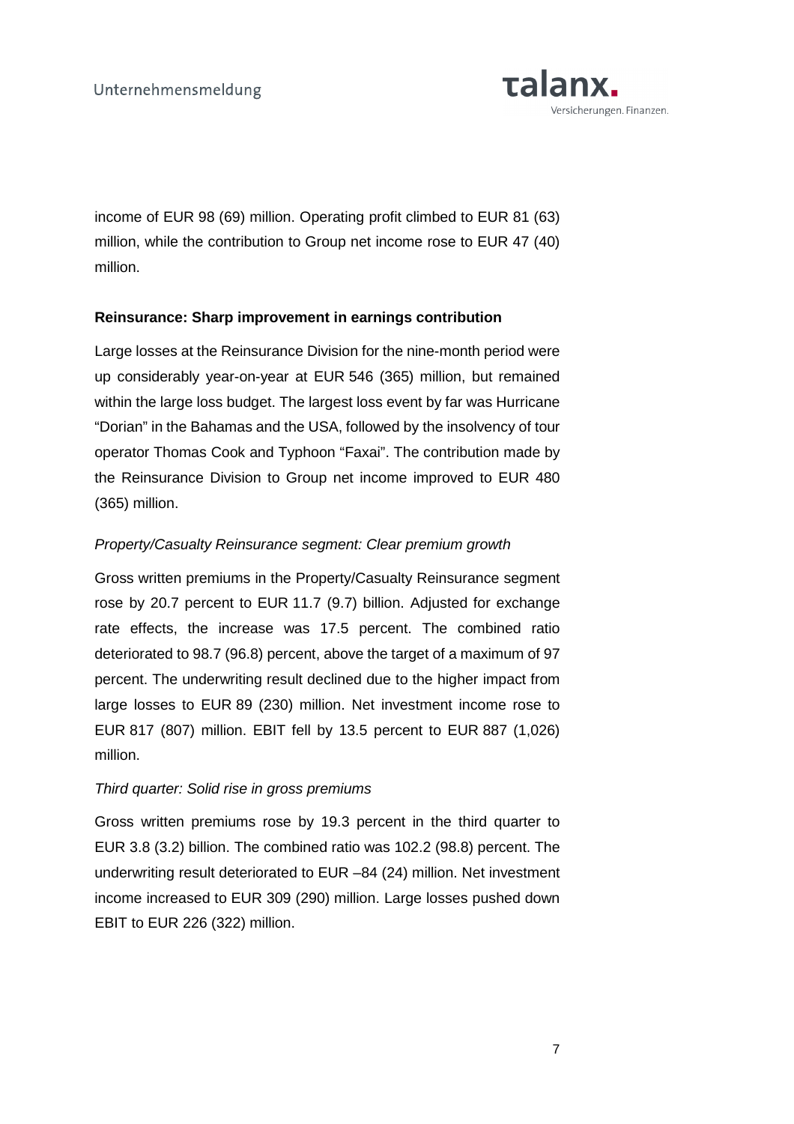

income of EUR 98 (69) million. Operating profit climbed to EUR 81 (63) million, while the contribution to Group net income rose to EUR 47 (40) million.

# **Reinsurance: Sharp improvement in earnings contribution**

Large losses at the Reinsurance Division for the nine-month period were up considerably year-on-year at EUR 546 (365) million, but remained within the large loss budget. The largest loss event by far was Hurricane "Dorian" in the Bahamas and the USA, followed by the insolvency of tour operator Thomas Cook and Typhoon "Faxai". The contribution made by the Reinsurance Division to Group net income improved to EUR 480 (365) million.

# Property/Casualty Reinsurance segment: Clear premium growth

Gross written premiums in the Property/Casualty Reinsurance segment rose by 20.7 percent to EUR 11.7 (9.7) billion. Adjusted for exchange rate effects, the increase was 17.5 percent. The combined ratio deteriorated to 98.7 (96.8) percent, above the target of a maximum of 97 percent. The underwriting result declined due to the higher impact from large losses to EUR 89 (230) million. Net investment income rose to EUR 817 (807) million. EBIT fell by 13.5 percent to EUR 887 (1,026) million.

# Third quarter: Solid rise in gross premiums

Gross written premiums rose by 19.3 percent in the third quarter to EUR 3.8 (3.2) billion. The combined ratio was 102.2 (98.8) percent. The underwriting result deteriorated to EUR –84 (24) million. Net investment income increased to EUR 309 (290) million. Large losses pushed down EBIT to EUR 226 (322) million.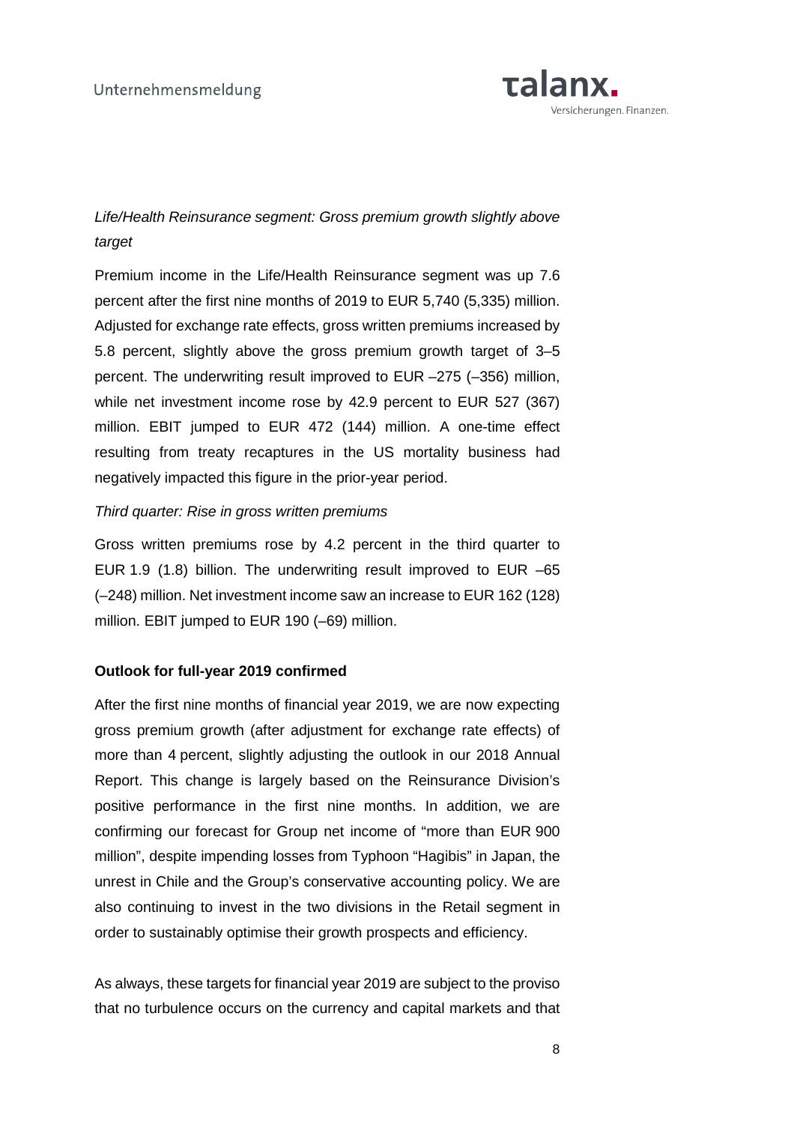

# Life/Health Reinsurance segment: Gross premium growth slightly above target

Premium income in the Life/Health Reinsurance segment was up 7.6 percent after the first nine months of 2019 to EUR 5,740 (5,335) million. Adjusted for exchange rate effects, gross written premiums increased by 5.8 percent, slightly above the gross premium growth target of 3–5 percent. The underwriting result improved to EUR –275 (–356) million, while net investment income rose by 42.9 percent to EUR 527 (367) million. EBIT jumped to EUR 472 (144) million. A one-time effect resulting from treaty recaptures in the US mortality business had negatively impacted this figure in the prior-year period.

## Third quarter: Rise in gross written premiums

Gross written premiums rose by 4.2 percent in the third quarter to EUR 1.9 (1.8) billion. The underwriting result improved to EUR –65 (–248) million. Net investment income saw an increase to EUR 162 (128) million. EBIT jumped to EUR 190 (–69) million.

# **Outlook for full-year 2019 confirmed**

After the first nine months of financial year 2019, we are now expecting gross premium growth (after adjustment for exchange rate effects) of more than 4 percent, slightly adjusting the outlook in our 2018 Annual Report. This change is largely based on the Reinsurance Division's positive performance in the first nine months. In addition, we are confirming our forecast for Group net income of "more than EUR 900 million", despite impending losses from Typhoon "Hagibis" in Japan, the unrest in Chile and the Group's conservative accounting policy. We are also continuing to invest in the two divisions in the Retail segment in order to sustainably optimise their growth prospects and efficiency.

As always, these targets for financial year 2019 are subject to the proviso that no turbulence occurs on the currency and capital markets and that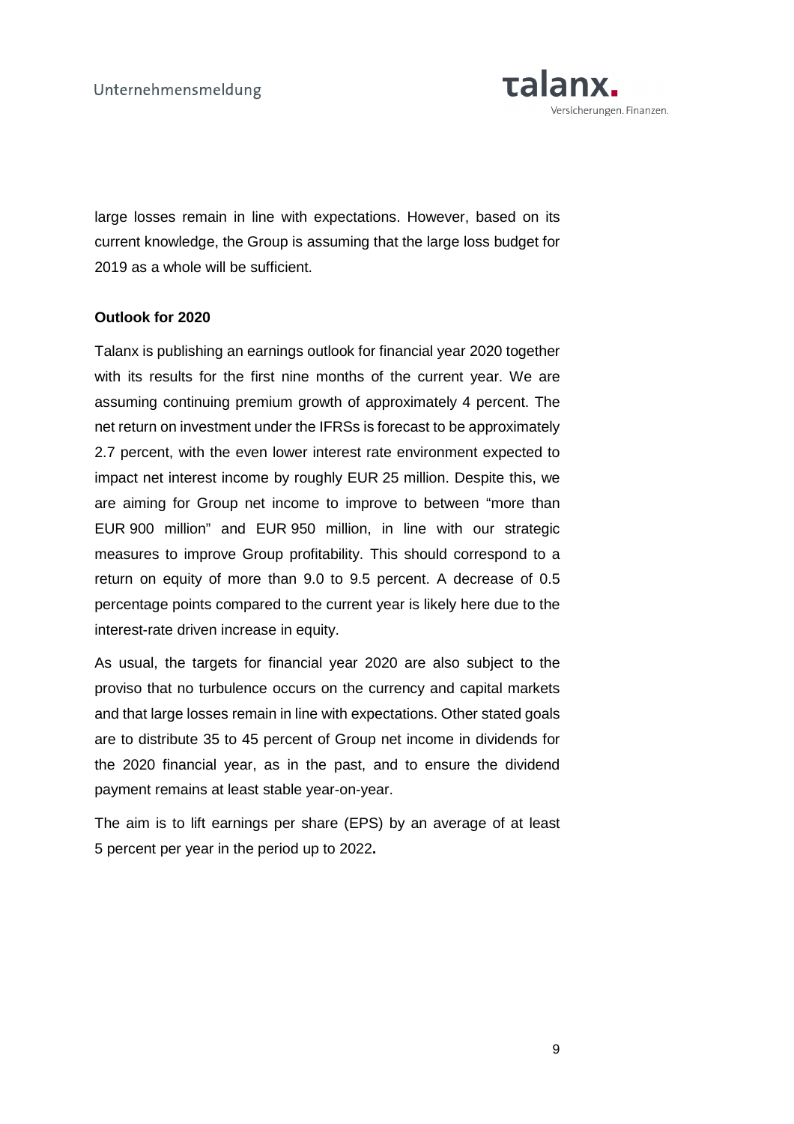

large losses remain in line with expectations. However, based on its current knowledge, the Group is assuming that the large loss budget for 2019 as a whole will be sufficient.

# **Outlook for 2020**

Talanx is publishing an earnings outlook for financial year 2020 together with its results for the first nine months of the current year. We are assuming continuing premium growth of approximately 4 percent. The net return on investment under the IFRSs is forecast to be approximately 2.7 percent, with the even lower interest rate environment expected to impact net interest income by roughly EUR 25 million. Despite this, we are aiming for Group net income to improve to between "more than EUR 900 million" and EUR 950 million, in line with our strategic measures to improve Group profitability. This should correspond to a return on equity of more than 9.0 to 9.5 percent. A decrease of 0.5 percentage points compared to the current year is likely here due to the interest-rate driven increase in equity.

As usual, the targets for financial year 2020 are also subject to the proviso that no turbulence occurs on the currency and capital markets and that large losses remain in line with expectations. Other stated goals are to distribute 35 to 45 percent of Group net income in dividends for the 2020 financial year, as in the past, and to ensure the dividend payment remains at least stable year-on-year.

The aim is to lift earnings per share (EPS) by an average of at least 5 percent per year in the period up to 2022**.**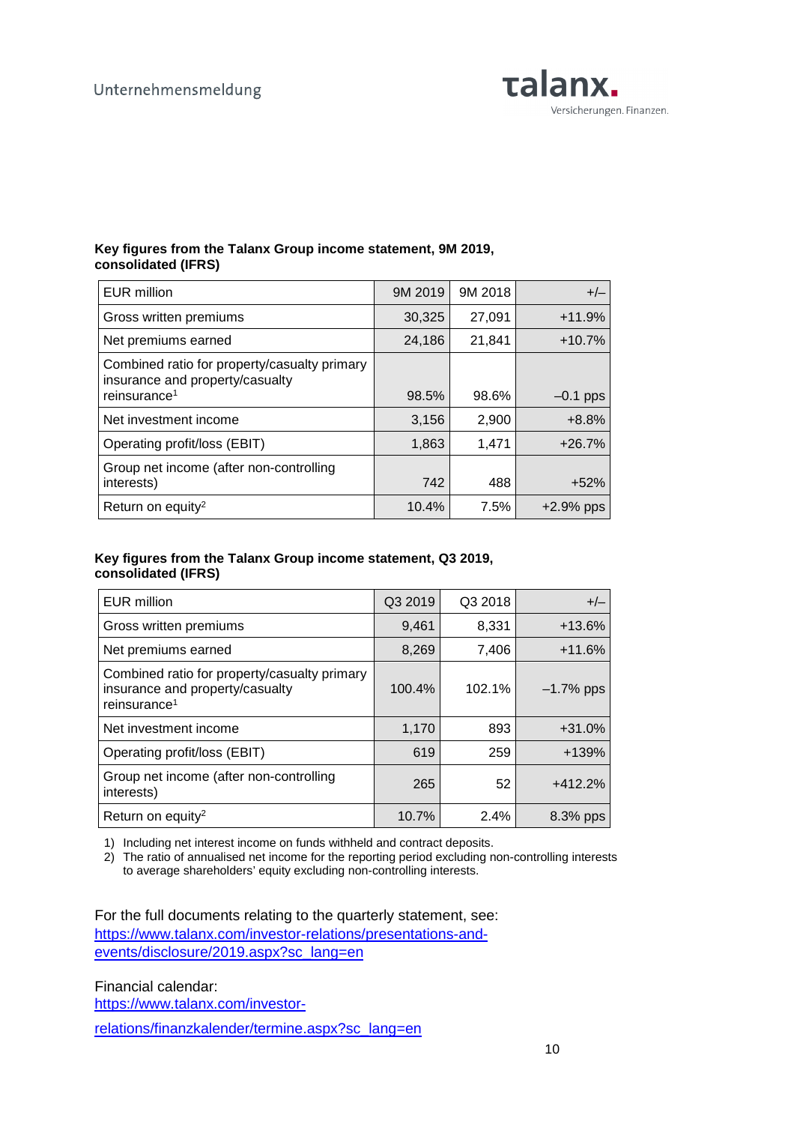

#### **Key figures from the Talanx Group income statement, 9M 2019, consolidated (IFRS)**

| EUR million                                                                                                 | 9M 2019 | 9M 2018 | $+/-$       |
|-------------------------------------------------------------------------------------------------------------|---------|---------|-------------|
| Gross written premiums                                                                                      | 30,325  | 27,091  | $+11.9%$    |
| Net premiums earned                                                                                         | 24,186  | 21,841  | $+10.7%$    |
| Combined ratio for property/casualty primary<br>insurance and property/casualty<br>reinsurance <sup>1</sup> | 98.5%   | 98.6%   | $-0.1$ pps  |
| Net investment income                                                                                       | 3,156   | 2,900   | $+8.8%$     |
| Operating profit/loss (EBIT)                                                                                | 1,863   | 1,471   | $+26.7%$    |
| Group net income (after non-controlling<br>interests)                                                       | 742     | 488     | $+52%$      |
| Return on equity <sup>2</sup>                                                                               | 10.4%   | 7.5%    | $+2.9%$ pps |

### **Key figures from the Talanx Group income statement, Q3 2019, consolidated (IFRS)**

| <b>EUR million</b>                                                                                          | Q3 2019 | Q3 2018 | $+/-$        |
|-------------------------------------------------------------------------------------------------------------|---------|---------|--------------|
| Gross written premiums                                                                                      | 9,461   | 8,331   | $+13.6%$     |
| Net premiums earned                                                                                         | 8,269   | 7,406   | $+11.6%$     |
| Combined ratio for property/casualty primary<br>insurance and property/casualty<br>reinsurance <sup>1</sup> | 100.4%  | 102.1%  | $-1.7\%$ pps |
| Net investment income                                                                                       | 1,170   | 893     | $+31.0%$     |
| Operating profit/loss (EBIT)                                                                                | 619     | 259     | $+139%$      |
| Group net income (after non-controlling<br>interests)                                                       | 265     | 52      | $+412.2%$    |
| Return on equity <sup>2</sup>                                                                               | 10.7%   | 2.4%    | 8.3% pps     |

1) Including net interest income on funds withheld and contract deposits.

2) The ratio of annualised net income for the reporting period excluding non-controlling interests to average shareholders' equity excluding non-controlling interests.

For the full documents relating to the quarterly statement, see: https://www.talanx.com/investor-relations/presentations-andevents/disclosure/2019.aspx?sc\_lang=en

Financial calendar: https://www.talanx.com/investor-

relations/finanzkalender/termine.aspx?sc\_lang=en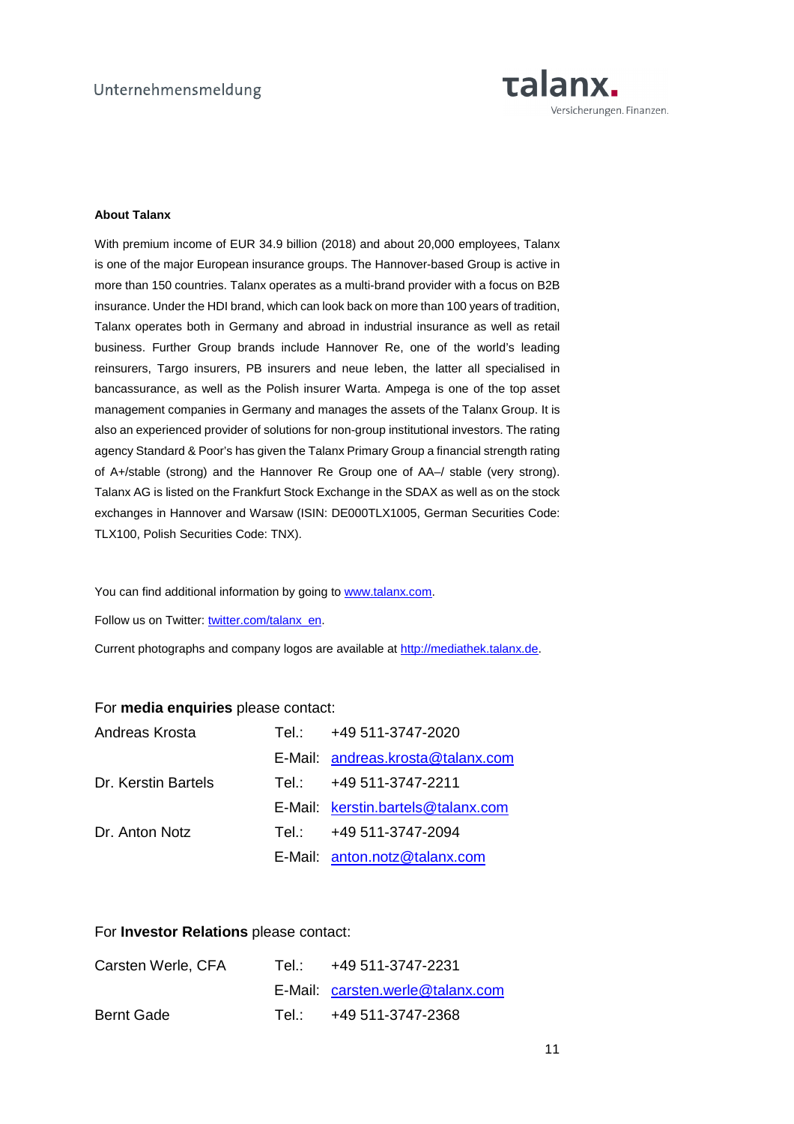

#### **About Talanx**

With premium income of EUR 34.9 billion (2018) and about 20,000 employees, Talanx is one of the major European insurance groups. The Hannover-based Group is active in more than 150 countries. Talanx operates as a multi-brand provider with a focus on B2B insurance. Under the HDI brand, which can look back on more than 100 years of tradition, Talanx operates both in Germany and abroad in industrial insurance as well as retail business. Further Group brands include Hannover Re, one of the world's leading reinsurers, Targo insurers, PB insurers and neue leben, the latter all specialised in bancassurance, as well as the Polish insurer Warta. Ampega is one of the top asset management companies in Germany and manages the assets of the Talanx Group. It is also an experienced provider of solutions for non-group institutional investors. The rating agency Standard & Poor's has given the Talanx Primary Group a financial strength rating of A+/stable (strong) and the Hannover Re Group one of AA–/ stable (very strong). Talanx AG is listed on the Frankfurt Stock Exchange in the SDAX as well as on the stock exchanges in Hannover and Warsaw (ISIN: DE000TLX1005, German Securities Code: TLX100, Polish Securities Code: TNX).

You can find additional information by going to www.talanx.com.

Follow us on Twitter: twitter.com/talanx\_en.

Current photographs and company logos are available at http://mediathek.talanx.de.

#### For **media enquiries** please contact:

| Andreas Krosta      |             | Tel.: +49 511-3747-2020            |
|---------------------|-------------|------------------------------------|
|                     |             | E-Mail: andreas.krosta@talanx.com  |
| Dr. Kerstin Bartels | Tel.: Tel   | +49 511-3747-2211                  |
|                     |             | E-Mail: kerstin.bartels@talanx.com |
| Dr. Anton Notz      | Tel : Tel : | +49 511-3747-2094                  |
|                     |             | E-Mail: anton.notz@talanx.com      |

#### For **Investor Relations** please contact:

| Carsten Werle, CFA | Tel.: +49 511-3747-2231          |
|--------------------|----------------------------------|
|                    | E-Mail: carsten.werle@talanx.com |
| <b>Bernt Gade</b>  | Tel.: +49 511-3747-2368          |